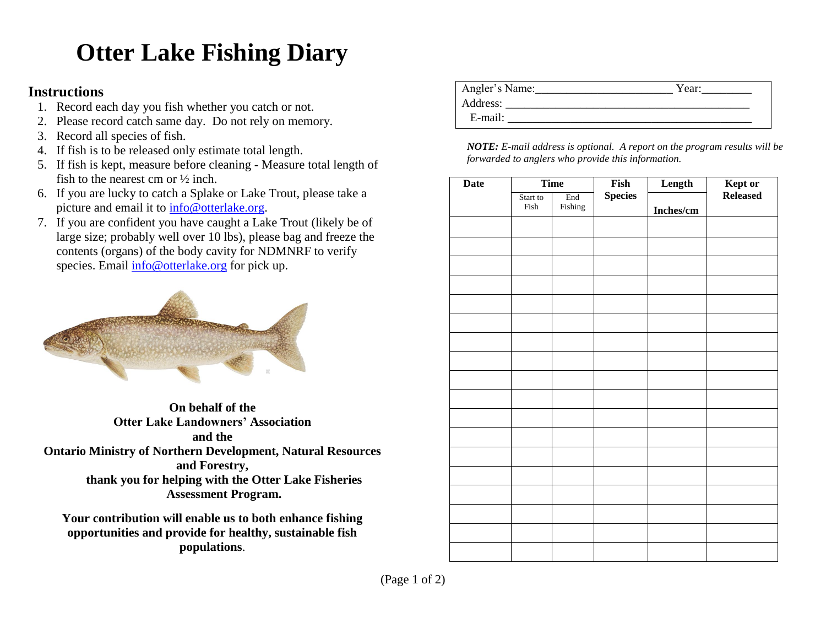## **Otter Lake Fishing Diary**

## **Instructions**

- 1. Record each day you fish whether you catch or not.
- 2. Please record catch same day. Do not rely on memory.
- 3. Record all species of fish.
- 4. If fish is to be released only estimate total length.
- 5. If fish is kept, measure before cleaning Measure total length of fish to the nearest cm or ½ inch.
- 6. If you are lucky to catch a Splake or Lake Trout, please take a picture and email it to [info@otterlake.org.](mailto:info@otterlake.org)
- 7. If you are confident you have caught a Lake Trout (likely be of large size; probably well over 10 lbs), please bag and freeze the contents (organs) of the body cavity for NDMNRF to verify species. Email [info@otterlake.org](mailto:info@otterlake.org) for pick up.



**On behalf of the Otter Lake Landowners' Association and the Ontario Ministry of Northern Development, Natural Resources and Forestry, thank you for helping with the Otter Lake Fisheries Assessment Program.**

**Your contribution will enable us to both enhance fishing opportunities and provide for healthy, sustainable fish populations**.

| Angler's Name: | Year: |
|----------------|-------|
| Address:       |       |
| E-mail:        |       |
|                |       |

*NOTE: E-mail address is optional. A report on the program results will be forwarded to anglers who provide this information.*

| <b>Date</b> | <b>Time</b>      |                | Fish           | Length    | Kept or  |
|-------------|------------------|----------------|----------------|-----------|----------|
|             | Start to<br>Fish | End<br>Fishing | <b>Species</b> | Inches/cm | Released |
|             |                  |                |                |           |          |
|             |                  |                |                |           |          |
|             |                  |                |                |           |          |
|             |                  |                |                |           |          |
|             |                  |                |                |           |          |
|             |                  |                |                |           |          |
|             |                  |                |                |           |          |
|             |                  |                |                |           |          |
|             |                  |                |                |           |          |
|             |                  |                |                |           |          |
|             |                  |                |                |           |          |
|             |                  |                |                |           |          |
|             |                  |                |                |           |          |
|             |                  |                |                |           |          |
|             |                  |                |                |           |          |
|             |                  |                |                |           |          |
|             |                  |                |                |           |          |